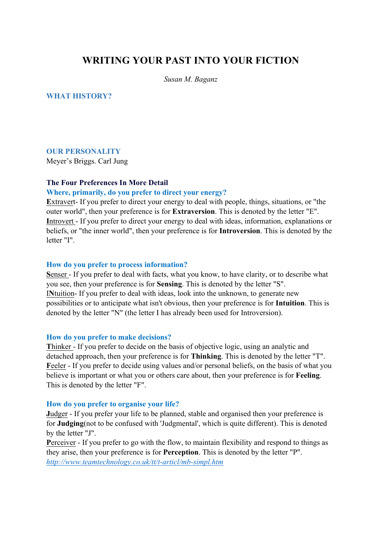# **WRITING YOUR PAST INTO YOUR FICTION**

*Susan M. Baganz*

## **WHAT HISTORY?**

# **OUR PERSONALITY**

Meyer's Briggs. Carl Jung

### **The Four Preferences In More Detail**

### **Where, primarily, do you prefer to direct your energy?**

**E**xtravert- If you prefer to direct your energy to deal with people, things, situations, or "the outer world", then your preference is for **Extraversion**. This is denoted by the letter "E". **I**ntrovert - If you prefer to direct your energy to deal with ideas, information, explanations or beliefs, or "the inner world", then your preference is for **Introversion**. This is denoted by the letter "I".

#### **How do you prefer to process information?**

**S**enser - If you prefer to deal with facts, what you know, to have clarity, or to describe what you see, then your preference is for **Sensing**. This is denoted by the letter "S". I**N**tuition- If you prefer to deal with ideas, look into the unknown, to generate new possibilities or to anticipate what isn't obvious, then your preference is for **Intuition**. This is denoted by the letter "N" (the letter I has already been used for Introversion).

#### **How do you prefer to make decisions?**

**T**hinker - If you prefer to decide on the basis of objective logic, using an analytic and detached approach, then your preference is for **Thinking**. This is denoted by the letter "T". Feeler - If you prefer to decide using values and/or personal beliefs, on the basis of what you believe is important or what you or others care about, then your preference is for **Feeling**. This is denoted by the letter "F".

#### **How do you prefer to organise your life?**

**J**udger - If you prefer your life to be planned, stable and organised then your preference is for **Judging**(not to be confused with 'Judgmental', which is quite different). This is denoted by the letter "J".

Perceiver - If you prefer to go with the flow, to maintain flexibility and respond to things as they arise, then your preference is for **Perception**. This is denoted by the letter "P". *http://www.teamtechnology.co.uk/tt/t-articl/mb-simpl.htm*